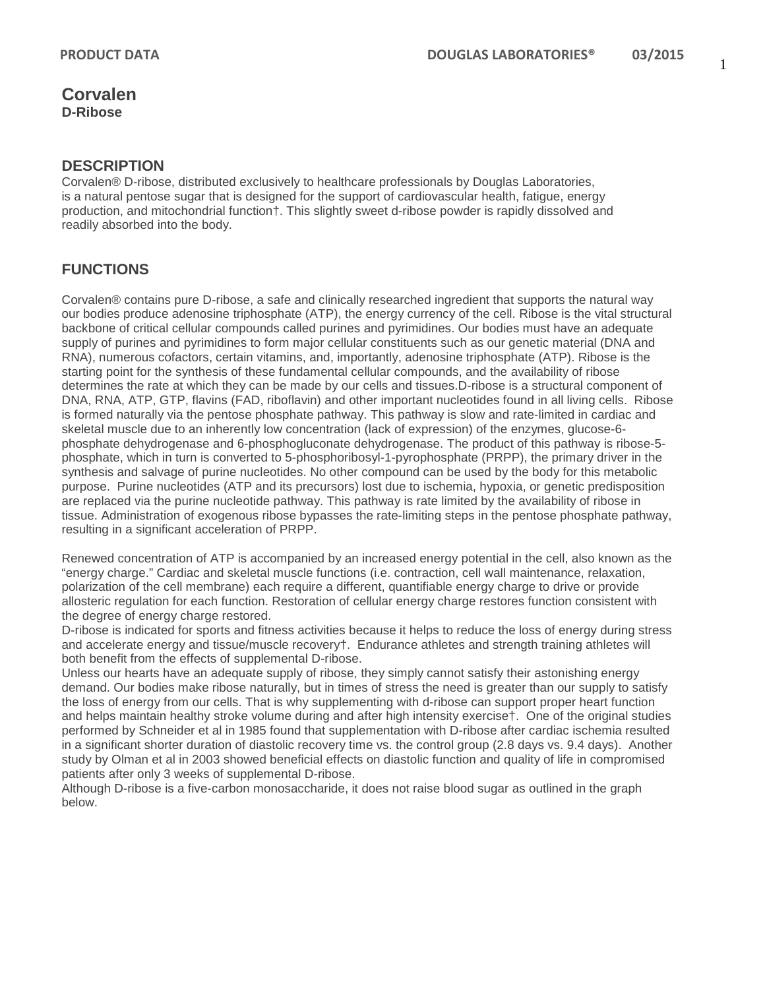#### **DESCRIPTION**

Corvalen® D-ribose, distributed exclusively to healthcare professionals by Douglas Laboratories, is a natural pentose sugar that is designed for the support of cardiovascular health, fatigue, energy production, and mitochondrial function†. This slightly sweet d-ribose powder is rapidly dissolved and readily absorbed into the body.

## **FUNCTIONS**

Corvalen® contains pure D-ribose, a safe and clinically researched ingredient that supports the natural way our bodies produce adenosine triphosphate (ATP), the energy currency of the cell. Ribose is the vital structural backbone of critical cellular compounds called purines and pyrimidines. Our bodies must have an adequate supply of purines and pyrimidines to form major cellular constituents such as our genetic material (DNA and RNA), numerous cofactors, certain vitamins, and, importantly, adenosine triphosphate (ATP). Ribose is the starting point for the synthesis of these fundamental cellular compounds, and the availability of ribose determines the rate at which they can be made by our cells and tissues.D-ribose is a structural component of DNA, RNA, ATP, GTP, flavins (FAD, riboflavin) and other important nucleotides found in all living cells. Ribose is formed naturally via the pentose phosphate pathway. This pathway is slow and rate-limited in cardiac and skeletal muscle due to an inherently low concentration (lack of expression) of the enzymes, glucose-6 phosphate dehydrogenase and 6-phosphogluconate dehydrogenase. The product of this pathway is ribose-5 phosphate, which in turn is converted to 5-phosphoribosyl-1-pyrophosphate (PRPP), the primary driver in the synthesis and salvage of purine nucleotides. No other compound can be used by the body for this metabolic purpose. Purine nucleotides (ATP and its precursors) lost due to ischemia, hypoxia, or genetic predisposition are replaced via the purine nucleotide pathway. This pathway is rate limited by the availability of ribose in tissue. Administration of exogenous ribose bypasses the rate-limiting steps in the pentose phosphate pathway, resulting in a significant acceleration of PRPP.

Renewed concentration of ATP is accompanied by an increased energy potential in the cell, also known as the "energy charge." Cardiac and skeletal muscle functions (i.e. contraction, cell wall maintenance, relaxation, polarization of the cell membrane) each require a different, quantifiable energy charge to drive or provide allosteric regulation for each function. Restoration of cellular energy charge restores function consistent with the degree of energy charge restored.

D-ribose is indicated for sports and fitness activities because it helps to reduce the loss of energy during stress and accelerate energy and tissue/muscle recovery†. Endurance athletes and strength training athletes will both benefit from the effects of supplemental D-ribose.

Unless our hearts have an adequate supply of ribose, they simply cannot satisfy their astonishing energy demand. Our bodies make ribose naturally, but in times of stress the need is greater than our supply to satisfy the loss of energy from our cells. That is why supplementing with d-ribose can support proper heart function and helps maintain healthy stroke volume during and after high intensity exercise†. One of the original studies performed by Schneider et al in 1985 found that supplementation with D-ribose after cardiac ischemia resulted in a significant shorter duration of diastolic recovery time vs. the control group (2.8 days vs. 9.4 days). Another study by Olman et al in 2003 showed beneficial effects on diastolic function and quality of life in compromised patients after only 3 weeks of supplemental D-ribose.

Although D-ribose is a five-carbon monosaccharide, it does not raise blood sugar as outlined in the graph below.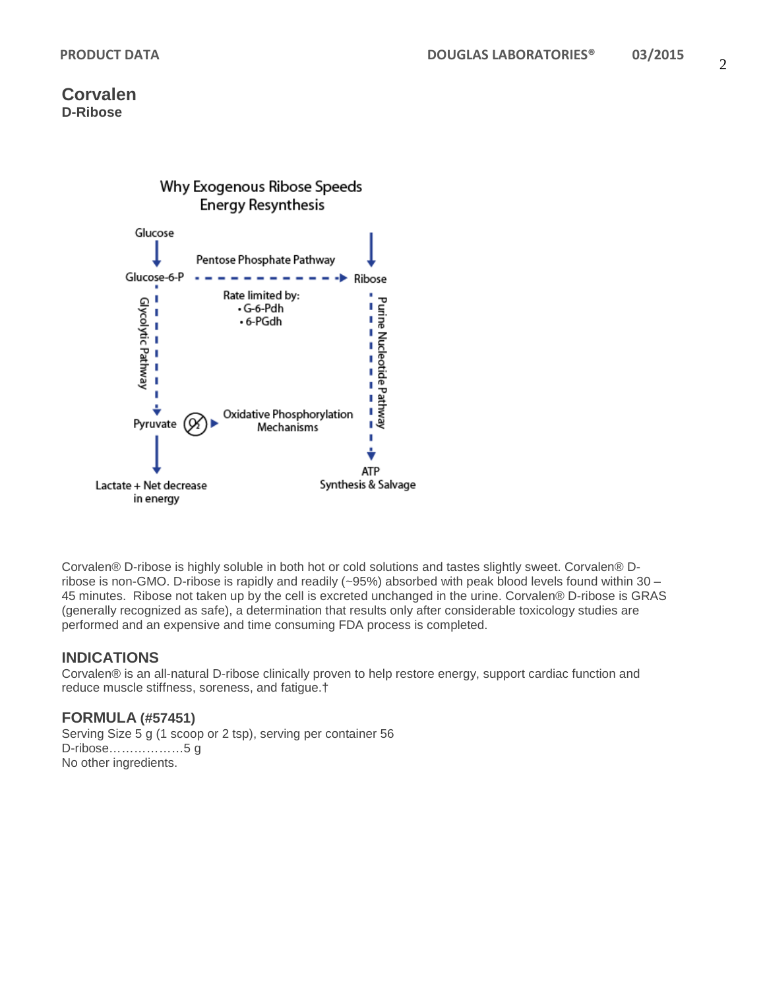

Corvalen® D-ribose is highly soluble in both hot or cold solutions and tastes slightly sweet. Corvalen® Dribose is non-GMO. D-ribose is rapidly and readily (~95%) absorbed with peak blood levels found within 30 – 45 minutes. Ribose not taken up by the cell is excreted unchanged in the urine. Corvalen® D-ribose is GRAS (generally recognized as safe), a determination that results only after considerable toxicology studies are performed and an expensive and time consuming FDA process is completed.

### **INDICATIONS**

Corvalen® is an all-natural D-ribose clinically proven to help restore energy, support cardiac function and reduce muscle stiffness, soreness, and fatigue.†

#### **FORMULA (#57451)**

Serving Size 5 g (1 scoop or 2 tsp), serving per container 56 D-ribose………………5 g No other ingredients.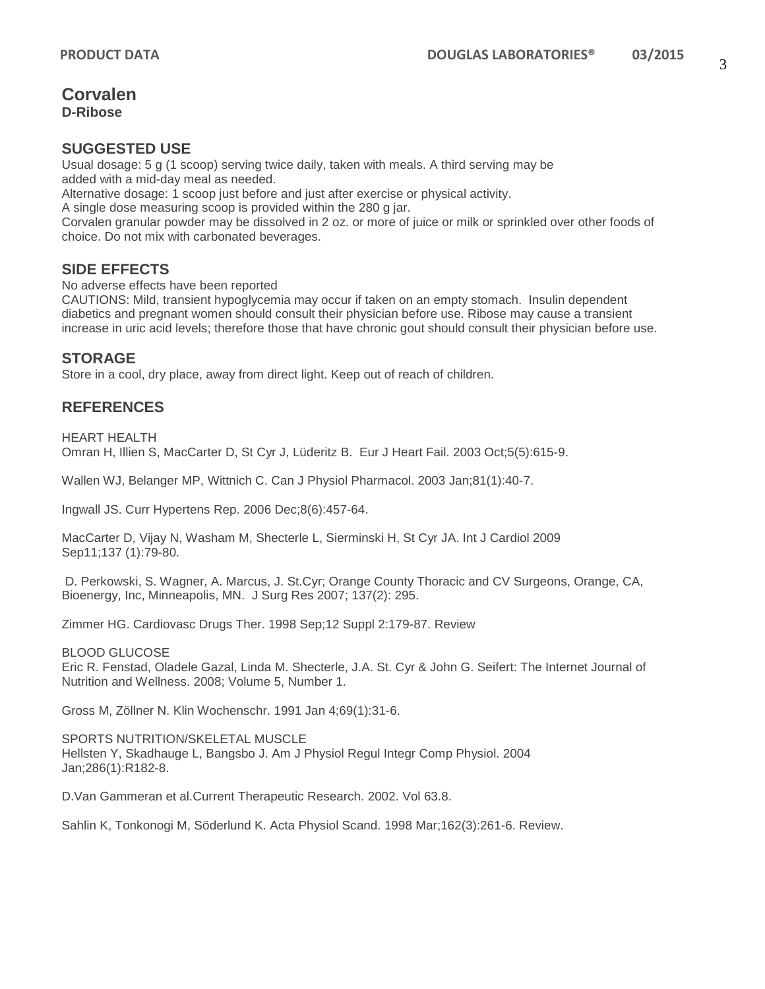#### **SUGGESTED USE**

Usual dosage: 5 g (1 scoop) serving twice daily, taken with meals. A third serving may be added with a mid-day meal as needed. Alternative dosage: 1 scoop just before and just after exercise or physical activity.

A single dose measuring scoop is provided within the 280 g jar.

Corvalen granular powder may be dissolved in 2 oz. or more of juice or milk or sprinkled over other foods of choice. Do not mix with carbonated beverages.

### **SIDE EFFECTS**

No adverse effects have been reported

CAUTIONS: Mild, transient hypoglycemia may occur if taken on an empty stomach. Insulin dependent diabetics and pregnant women should consult their physician before use. Ribose may cause a transient increase in uric acid levels; therefore those that have chronic gout should consult their physician before use.

#### **STORAGE**

Store in a cool, dry place, away from direct light. Keep out of reach of children.

# **REFERENCES**

HEART HEALTH Omran H, Illien S, MacCarter D, St Cyr J, Lüderitz B. Eur J Heart Fail. 2003 Oct;5(5):615-9.

Wallen WJ, Belanger MP, Wittnich C. Can J Physiol Pharmacol. 2003 Jan;81(1):40-7.

Ingwall JS. Curr Hypertens Rep. 2006 Dec;8(6):457-64.

MacCarter D, Vijay N, Washam M, Shecterle L, Sierminski H, St Cyr JA. Int J Cardiol 2009 Sep11;137 (1):79-80.

D. Perkowski, S. Wagner, A. Marcus, J. St.Cyr; Orange County Thoracic and CV Surgeons, Orange, CA, Bioenergy, Inc, Minneapolis, MN. J Surg Res 2007; 137(2): 295.

Zimmer HG. Cardiovasc Drugs Ther. 1998 Sep;12 Suppl 2:179-87. Review

BLOOD GLUCOSE

Eric R. Fenstad, Oladele Gazal, Linda M. Shecterle, J.A. St. Cyr & John G. Seifert: The Internet Journal of Nutrition and Wellness. 2008; Volume 5, Number 1.

Gross M, Zöllner N. Klin Wochenschr. 1991 Jan 4;69(1):31-6.

SPORTS NUTRITION/SKELETAL MUSCLE Hellsten Y, Skadhauge L, Bangsbo J. Am J Physiol Regul Integr Comp Physiol. 2004 Jan;286(1):R182-8.

D.Van Gammeran et al.Current Therapeutic Research. 2002. Vol 63.8.

Sahlin K, Tonkonogi M, Söderlund K. Acta Physiol Scand. 1998 Mar;162(3):261-6. Review.